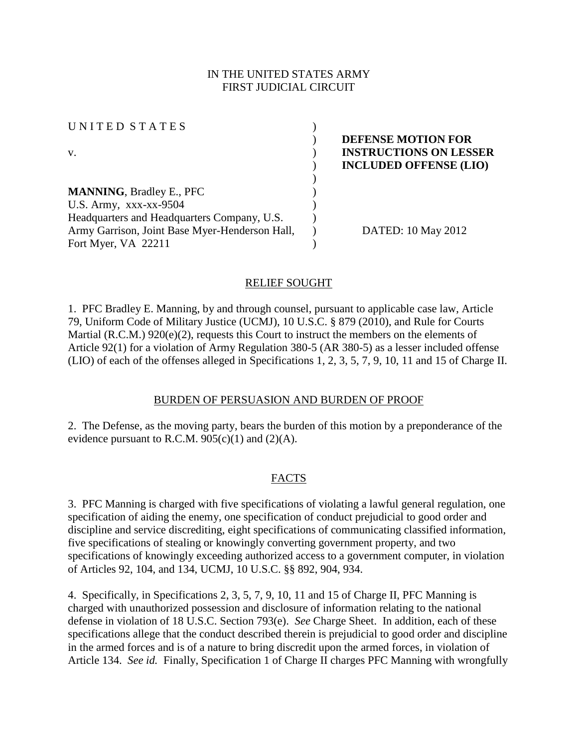## IN THE UNITED STATES ARMY FIRST JUDICIAL CIRCUIT

| UNITED STATES                                  |  |
|------------------------------------------------|--|
|                                                |  |
| V.                                             |  |
|                                                |  |
|                                                |  |
| <b>MANNING, Bradley E., PFC</b>                |  |
| U.S. Army, $XXX-XX-9504$                       |  |
| Headquarters and Headquarters Company, U.S.    |  |
| Army Garrison, Joint Base Myer-Henderson Hall, |  |
| Fort Myer, VA 22211                            |  |

## ) **DEFENSE MOTION FOR INSTRUCTIONS ON LESSER** ) **INCLUDED OFFENSE (LIO)**

) DATED: 10 May 2012

### RELIEF SOUGHT

1. PFC Bradley E. Manning, by and through counsel, pursuant to applicable case law, Article 79, Uniform Code of Military Justice (UCMJ), 10 U.S.C. § 879 (2010), and Rule for Courts Martial (R.C.M.) 920(e)(2), requests this Court to instruct the members on the elements of Article 92(1) for a violation of Army Regulation 380-5 (AR 380-5) as a lesser included offense (LIO) of each of the offenses alleged in Specifications 1, 2, 3, 5, 7, 9, 10, 11 and 15 of Charge II.

#### BURDEN OF PERSUASION AND BURDEN OF PROOF

2. The Defense, as the moving party, bears the burden of this motion by a preponderance of the evidence pursuant to R.C.M.  $905(c)(1)$  and  $(2)(A)$ .

## FACTS

3. PFC Manning is charged with five specifications of violating a lawful general regulation, one specification of aiding the enemy, one specification of conduct prejudicial to good order and discipline and service discrediting, eight specifications of communicating classified information, five specifications of stealing or knowingly converting government property, and two specifications of knowingly exceeding authorized access to a government computer, in violation of Articles 92, 104, and 134, UCMJ, 10 U.S.C. §§ 892, 904, 934.

4. Specifically, in Specifications 2, 3, 5, 7, 9, 10, 11 and 15 of Charge II, PFC Manning is charged with unauthorized possession and disclosure of information relating to the national defense in violation of 18 U.S.C. Section 793(e). *See* Charge Sheet. In addition, each of these specifications allege that the conduct described therein is prejudicial to good order and discipline in the armed forces and is of a nature to bring discredit upon the armed forces, in violation of Article 134. *See id.* Finally, Specification 1 of Charge II charges PFC Manning with wrongfully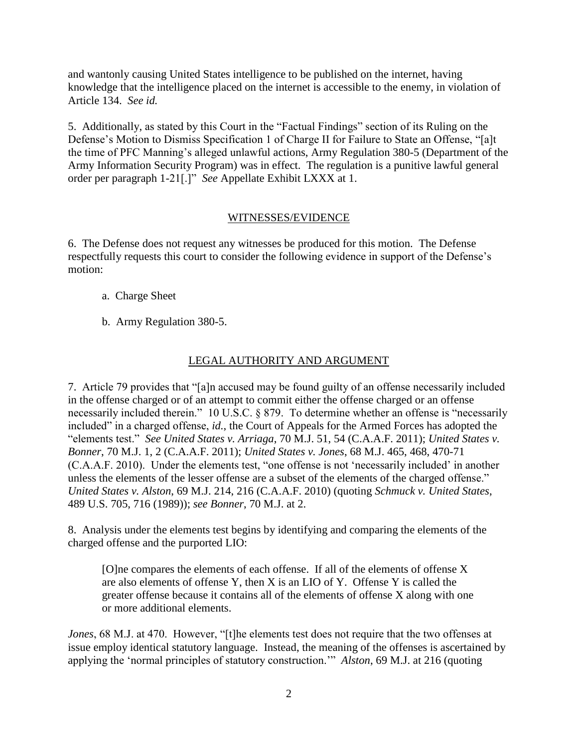and wantonly causing United States intelligence to be published on the internet, having knowledge that the intelligence placed on the internet is accessible to the enemy, in violation of Article 134. *See id.*

5. Additionally, as stated by this Court in the "Factual Findings" section of its Ruling on the Defense's Motion to Dismiss Specification 1 of Charge II for Failure to State an Offense, "[a]t the time of PFC Manning's alleged unlawful actions, Army Regulation 380-5 (Department of the Army Information Security Program) was in effect. The regulation is a punitive lawful general order per paragraph 1-21[.]" *See* Appellate Exhibit LXXX at 1.

### WITNESSES/EVIDENCE

6. The Defense does not request any witnesses be produced for this motion. The Defense respectfully requests this court to consider the following evidence in support of the Defense's motion:

- a. Charge Sheet
- b. Army Regulation 380-5.

# LEGAL AUTHORITY AND ARGUMENT

7. Article 79 provides that "[a]n accused may be found guilty of an offense necessarily included in the offense charged or of an attempt to commit either the offense charged or an offense necessarily included therein." 10 U.S.C. § 879. To determine whether an offense is "necessarily included" in a charged offense, *id.*, the Court of Appeals for the Armed Forces has adopted the "elements test." *See United States v. Arriaga*, 70 M.J. 51, 54 (C.A.A.F. 2011); *United States v. Bonner*, 70 M.J. 1, 2 (C.A.A.F. 2011); *United States v. Jones*, 68 M.J. 465, 468, 470-71 (C.A.A.F. 2010). Under the elements test, "one offense is not 'necessarily included' in another unless the elements of the lesser offense are a subset of the elements of the charged offense." *United States v. Alston*, 69 M.J. 214, 216 (C.A.A.F. 2010) (quoting *Schmuck v. United States*, 489 U.S. 705, 716 (1989)); *see Bonner*, 70 M.J. at 2.

8. Analysis under the elements test begins by identifying and comparing the elements of the charged offense and the purported LIO:

[O]ne compares the elements of each offense. If all of the elements of offense X are also elements of offense Y, then X is an LIO of Y. Offense Y is called the greater offense because it contains all of the elements of offense X along with one or more additional elements.

*Jones*, 68 M.J. at 470. However, "[t]he elements test does not require that the two offenses at issue employ identical statutory language. Instead, the meaning of the offenses is ascertained by applying the 'normal principles of statutory construction.'" *Alston*, 69 M.J. at 216 (quoting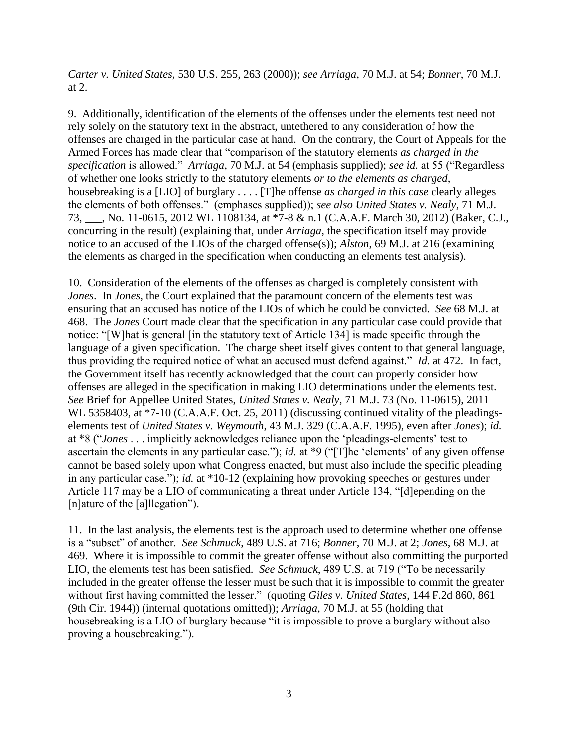*Carter v. United States*, 530 U.S. 255, 263 (2000)); *see Arriaga*, 70 M.J. at 54; *Bonner*, 70 M.J. at 2.

9. Additionally, identification of the elements of the offenses under the elements test need not rely solely on the statutory text in the abstract, untethered to any consideration of how the offenses are charged in the particular case at hand. On the contrary, the Court of Appeals for the Armed Forces has made clear that "comparison of the statutory elements *as charged in the specification* is allowed." *Arriaga*, 70 M.J. at 54 (emphasis supplied); *see id.* at 55 ("Regardless of whether one looks strictly to the statutory elements *or to the elements as charged*, housebreaking is a [LIO] of burglary . . . . [T]he offense *as charged in this case* clearly alleges the elements of both offenses." (emphases supplied)); *see also United States v. Nealy*, 71 M.J. 73, \_\_\_, No. 11-0615, 2012 WL 1108134, at \*7-8 & n.1 (C.A.A.F. March 30, 2012) (Baker, C.J., concurring in the result) (explaining that, under *Arriaga*, the specification itself may provide notice to an accused of the LIOs of the charged offense(s)); *Alston*, 69 M.J. at 216 (examining the elements as charged in the specification when conducting an elements test analysis).

10. Consideration of the elements of the offenses as charged is completely consistent with *Jones*. In *Jones*, the Court explained that the paramount concern of the elements test was ensuring that an accused has notice of the LIOs of which he could be convicted. *See* 68 M.J. at 468. The *Jones* Court made clear that the specification in any particular case could provide that notice: "[W]hat is general [in the statutory text of Article 134] is made specific through the language of a given specification. The charge sheet itself gives content to that general language, thus providing the required notice of what an accused must defend against." *Id.* at 472. In fact, the Government itself has recently acknowledged that the court can properly consider how offenses are alleged in the specification in making LIO determinations under the elements test. *See* Brief for Appellee United States, *United States v. Nealy*, 71 M.J. 73 (No. 11-0615), 2011 WL 5358403, at \*7-10 (C.A.A.F. Oct. 25, 2011) (discussing continued vitality of the pleadingselements test of *United States v. Weymouth*, 43 M.J. 329 (C.A.A.F. 1995), even after *Jones*); *id.* at \*8 ("*Jones* . . . implicitly acknowledges reliance upon the 'pleadings-elements' test to ascertain the elements in any particular case."); *id.* at \*9 ("[T]he 'elements' of any given offense cannot be based solely upon what Congress enacted, but must also include the specific pleading in any particular case."); *id.* at \*10-12 (explaining how provoking speeches or gestures under Article 117 may be a LIO of communicating a threat under Article 134, "[d]epending on the [n]ature of the [a]llegation").

11. In the last analysis, the elements test is the approach used to determine whether one offense is a "subset" of another. *See Schmuck*, 489 U.S. at 716; *Bonner*, 70 M.J. at 2; *Jones*, 68 M.J. at 469. Where it is impossible to commit the greater offense without also committing the purported LIO, the elements test has been satisfied. *See Schmuck*, 489 U.S. at 719 ("To be necessarily included in the greater offense the lesser must be such that it is impossible to commit the greater without first having committed the lesser." (quoting *Giles v. United States*, 144 F.2d 860, 861 (9th Cir. 1944)) (internal quotations omitted)); *Arriaga*, 70 M.J. at 55 (holding that housebreaking is a LIO of burglary because "it is impossible to prove a burglary without also proving a housebreaking.").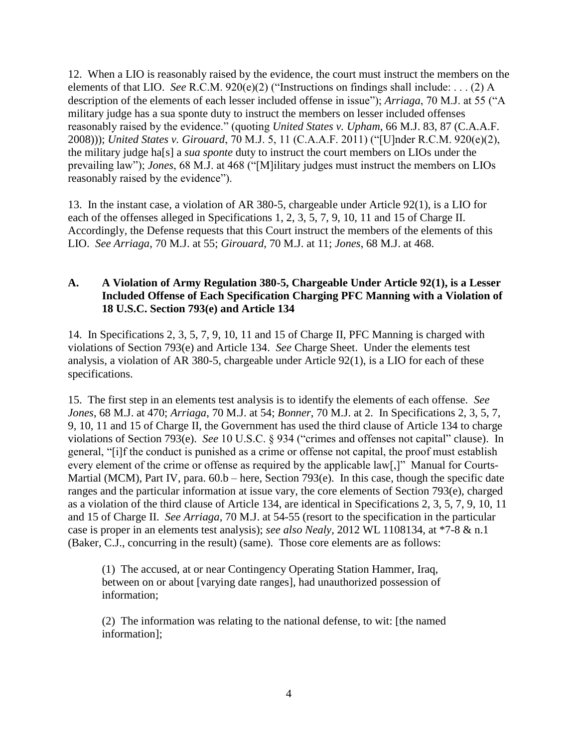12. When a LIO is reasonably raised by the evidence, the court must instruct the members on the elements of that LIO. *See* R.C.M. 920(e)(2) ("Instructions on findings shall include: . . . (2) A description of the elements of each lesser included offense in issue"); *Arriaga*, 70 M.J. at 55 ("A military judge has a sua sponte duty to instruct the members on lesser included offenses reasonably raised by the evidence." (quoting *United States v. Upham*, 66 M.J. 83, 87 (C.A.A.F. 2008))); *United States v. Girouard*, 70 M.J. 5, 11 (C.A.A.F. 2011) ("[U]nder R.C.M. 920(e)(2), the military judge ha[s] a *sua sponte* duty to instruct the court members on LIOs under the prevailing law"); *Jones*, 68 M.J. at 468 ("[M]ilitary judges must instruct the members on LIOs reasonably raised by the evidence").

13. In the instant case, a violation of AR 380-5, chargeable under Article 92(1), is a LIO for each of the offenses alleged in Specifications 1, 2, 3, 5, 7, 9, 10, 11 and 15 of Charge II. Accordingly, the Defense requests that this Court instruct the members of the elements of this LIO. *See Arriaga*, 70 M.J. at 55; *Girouard*, 70 M.J. at 11; *Jones*, 68 M.J. at 468.

## **A. A Violation of Army Regulation 380-5, Chargeable Under Article 92(1), is a Lesser Included Offense of Each Specification Charging PFC Manning with a Violation of 18 U.S.C. Section 793(e) and Article 134**

14. In Specifications 2, 3, 5, 7, 9, 10, 11 and 15 of Charge II, PFC Manning is charged with violations of Section 793(e) and Article 134. *See* Charge Sheet. Under the elements test analysis, a violation of AR 380-5, chargeable under Article 92(1), is a LIO for each of these specifications.

15. The first step in an elements test analysis is to identify the elements of each offense. *See Jones*, 68 M.J. at 470; *Arriaga*, 70 M.J. at 54; *Bonner*, 70 M.J. at 2. In Specifications 2, 3, 5, 7, 9, 10, 11 and 15 of Charge II, the Government has used the third clause of Article 134 to charge violations of Section 793(e). *See* 10 U.S.C. § 934 ("crimes and offenses not capital" clause). In general, "[i]f the conduct is punished as a crime or offense not capital, the proof must establish every element of the crime or offense as required by the applicable law[,]" Manual for Courts-Martial (MCM), Part IV, para.  $60.b$  – here, Section 793(e). In this case, though the specific date ranges and the particular information at issue vary, the core elements of Section 793(e), charged as a violation of the third clause of Article 134, are identical in Specifications 2, 3, 5, 7, 9, 10, 11 and 15 of Charge II. *See Arriaga*, 70 M.J. at 54-55 (resort to the specification in the particular case is proper in an elements test analysis); *see also Nealy*, 2012 WL 1108134, at \*7-8 & n.1 (Baker, C.J., concurring in the result) (same). Those core elements are as follows:

(1) The accused, at or near Contingency Operating Station Hammer, Iraq, between on or about [varying date ranges], had unauthorized possession of information;

(2) The information was relating to the national defense, to wit: [the named information];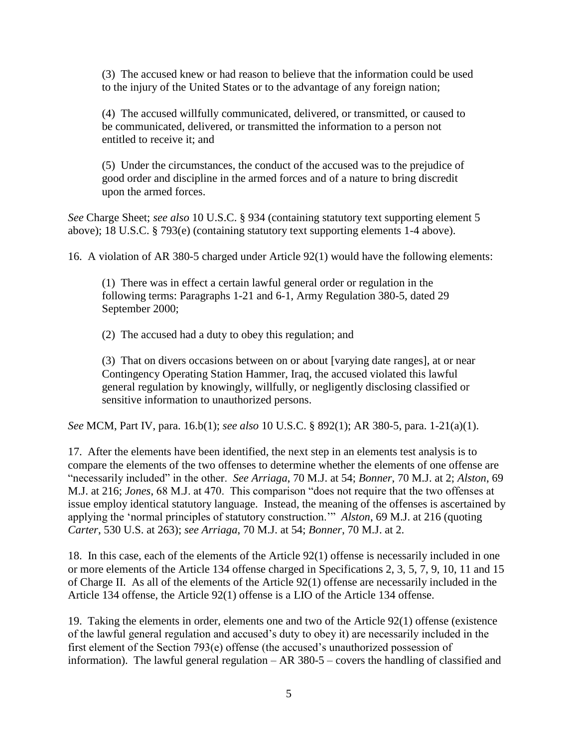(3) The accused knew or had reason to believe that the information could be used to the injury of the United States or to the advantage of any foreign nation;

(4) The accused willfully communicated, delivered, or transmitted, or caused to be communicated, delivered, or transmitted the information to a person not entitled to receive it; and

(5) Under the circumstances, the conduct of the accused was to the prejudice of good order and discipline in the armed forces and of a nature to bring discredit upon the armed forces.

*See* Charge Sheet; *see also* 10 U.S.C. § 934 (containing statutory text supporting element 5 above); 18 U.S.C. § 793(e) (containing statutory text supporting elements 1-4 above).

16. A violation of AR 380-5 charged under Article 92(1) would have the following elements:

(1) There was in effect a certain lawful general order or regulation in the following terms: Paragraphs 1-21 and 6-1, Army Regulation 380-5, dated 29 September 2000;

(2) The accused had a duty to obey this regulation; and

(3) That on divers occasions between on or about [varying date ranges], at or near Contingency Operating Station Hammer, Iraq, the accused violated this lawful general regulation by knowingly, willfully, or negligently disclosing classified or sensitive information to unauthorized persons.

*See* MCM, Part IV, para. 16.b(1); *see also* 10 U.S.C. § 892(1); AR 380-5, para. 1-21(a)(1).

17. After the elements have been identified, the next step in an elements test analysis is to compare the elements of the two offenses to determine whether the elements of one offense are "necessarily included" in the other. *See Arriaga*, 70 M.J. at 54; *Bonner*, 70 M.J. at 2; *Alston*, 69 M.J. at 216; *Jones*, 68 M.J. at 470. This comparison "does not require that the two offenses at issue employ identical statutory language. Instead, the meaning of the offenses is ascertained by applying the 'normal principles of statutory construction.'" *Alston*, 69 M.J. at 216 (quoting *Carter*, 530 U.S. at 263); *see Arriaga*, 70 M.J. at 54; *Bonner*, 70 M.J. at 2.

18. In this case, each of the elements of the Article 92(1) offense is necessarily included in one or more elements of the Article 134 offense charged in Specifications 2, 3, 5, 7, 9, 10, 11 and 15 of Charge II. As all of the elements of the Article 92(1) offense are necessarily included in the Article 134 offense, the Article 92(1) offense is a LIO of the Article 134 offense.

19. Taking the elements in order, elements one and two of the Article 92(1) offense (existence of the lawful general regulation and accused's duty to obey it) are necessarily included in the first element of the Section 793(e) offense (the accused's unauthorized possession of information). The lawful general regulation – AR 380-5 – covers the handling of classified and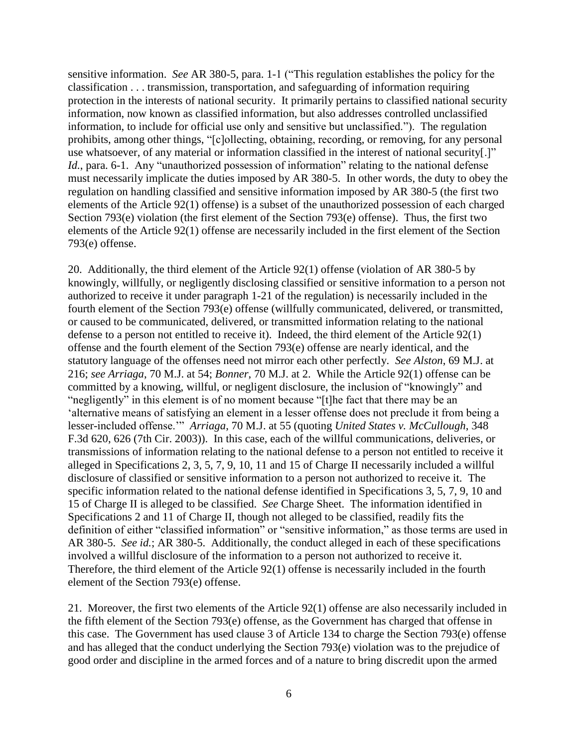sensitive information. *See* AR 380-5, para. 1-1 ("This regulation establishes the policy for the classification . . . transmission, transportation, and safeguarding of information requiring protection in the interests of national security. It primarily pertains to classified national security information, now known as classified information, but also addresses controlled unclassified information, to include for official use only and sensitive but unclassified."). The regulation prohibits, among other things, "[c]ollecting, obtaining, recording, or removing, for any personal use whatsoever, of any material or information classified in the interest of national security[.]" *Id.*, para. 6-1. Any "unauthorized possession of information" relating to the national defense must necessarily implicate the duties imposed by AR 380-5. In other words, the duty to obey the regulation on handling classified and sensitive information imposed by AR 380-5 (the first two elements of the Article 92(1) offense) is a subset of the unauthorized possession of each charged Section 793(e) violation (the first element of the Section 793(e) offense). Thus, the first two elements of the Article 92(1) offense are necessarily included in the first element of the Section 793(e) offense.

20. Additionally, the third element of the Article 92(1) offense (violation of AR 380-5 by knowingly, willfully, or negligently disclosing classified or sensitive information to a person not authorized to receive it under paragraph 1-21 of the regulation) is necessarily included in the fourth element of the Section 793(e) offense (willfully communicated, delivered, or transmitted, or caused to be communicated, delivered, or transmitted information relating to the national defense to a person not entitled to receive it). Indeed, the third element of the Article 92(1) offense and the fourth element of the Section 793(e) offense are nearly identical, and the statutory language of the offenses need not mirror each other perfectly. *See Alston*, 69 M.J. at 216; *see Arriaga*, 70 M.J. at 54; *Bonner*, 70 M.J. at 2. While the Article 92(1) offense can be committed by a knowing, willful, or negligent disclosure, the inclusion of "knowingly" and "negligently" in this element is of no moment because "[t]he fact that there may be an 'alternative means of satisfying an element in a lesser offense does not preclude it from being a lesser-included offense.'" *Arriaga*, 70 M.J. at 55 (quoting *United States v. McCullough*, 348 F.3d 620, 626 (7th Cir. 2003)). In this case, each of the willful communications, deliveries, or transmissions of information relating to the national defense to a person not entitled to receive it alleged in Specifications 2, 3, 5, 7, 9, 10, 11 and 15 of Charge II necessarily included a willful disclosure of classified or sensitive information to a person not authorized to receive it. The specific information related to the national defense identified in Specifications 3, 5, 7, 9, 10 and 15 of Charge II is alleged to be classified. *See* Charge Sheet. The information identified in Specifications 2 and 11 of Charge II, though not alleged to be classified, readily fits the definition of either "classified information" or "sensitive information," as those terms are used in AR 380-5. *See id.*; AR 380-5. Additionally, the conduct alleged in each of these specifications involved a willful disclosure of the information to a person not authorized to receive it. Therefore, the third element of the Article 92(1) offense is necessarily included in the fourth element of the Section 793(e) offense.

21. Moreover, the first two elements of the Article 92(1) offense are also necessarily included in the fifth element of the Section 793(e) offense, as the Government has charged that offense in this case. The Government has used clause 3 of Article 134 to charge the Section 793(e) offense and has alleged that the conduct underlying the Section 793(e) violation was to the prejudice of good order and discipline in the armed forces and of a nature to bring discredit upon the armed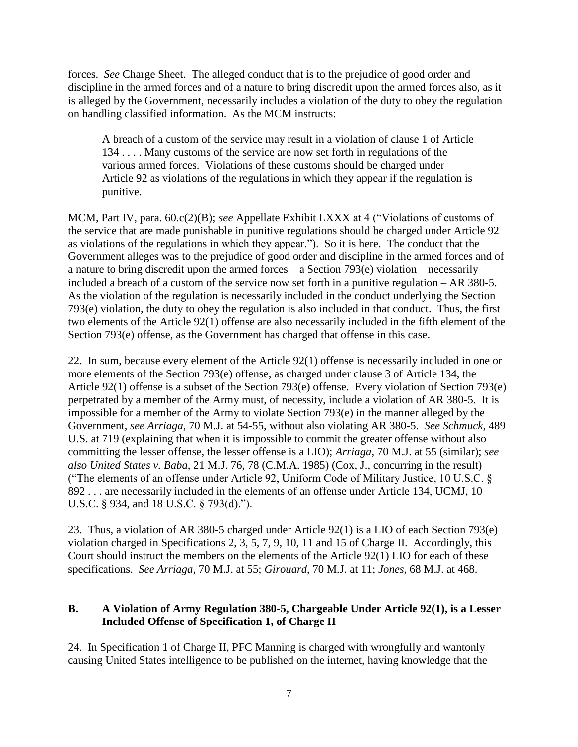forces. *See* Charge Sheet. The alleged conduct that is to the prejudice of good order and discipline in the armed forces and of a nature to bring discredit upon the armed forces also, as it is alleged by the Government, necessarily includes a violation of the duty to obey the regulation on handling classified information. As the MCM instructs:

A breach of a custom of the service may result in a violation of clause 1 of Article 134 . . . . Many customs of the service are now set forth in regulations of the various armed forces. Violations of these customs should be charged under Article 92 as violations of the regulations in which they appear if the regulation is punitive.

MCM, Part IV, para. 60.c(2)(B); *see* Appellate Exhibit LXXX at 4 ("Violations of customs of the service that are made punishable in punitive regulations should be charged under Article 92 as violations of the regulations in which they appear."). So it is here. The conduct that the Government alleges was to the prejudice of good order and discipline in the armed forces and of a nature to bring discredit upon the armed forces – a Section  $793(e)$  violation – necessarily included a breach of a custom of the service now set forth in a punitive regulation – AR 380-5. As the violation of the regulation is necessarily included in the conduct underlying the Section 793(e) violation, the duty to obey the regulation is also included in that conduct. Thus, the first two elements of the Article 92(1) offense are also necessarily included in the fifth element of the Section 793(e) offense, as the Government has charged that offense in this case.

22. In sum, because every element of the Article 92(1) offense is necessarily included in one or more elements of the Section 793(e) offense, as charged under clause 3 of Article 134, the Article 92(1) offense is a subset of the Section 793(e) offense. Every violation of Section 793(e) perpetrated by a member of the Army must, of necessity, include a violation of AR 380-5. It is impossible for a member of the Army to violate Section 793(e) in the manner alleged by the Government, *see Arriaga*, 70 M.J. at 54-55, without also violating AR 380-5. *See Schmuck*, 489 U.S. at 719 (explaining that when it is impossible to commit the greater offense without also committing the lesser offense, the lesser offense is a LIO); *Arriaga*, 70 M.J. at 55 (similar); *see also United States v. Baba*, 21 M.J. 76, 78 (C.M.A. 1985) (Cox, J., concurring in the result) ("The elements of an offense under Article 92, Uniform Code of Military Justice, 10 U.S.C. § 892 . . . are necessarily included in the elements of an offense under Article 134, UCMJ, 10 U.S.C. § 934, and 18 U.S.C. § 793(d).").

23. Thus, a violation of AR 380-5 charged under Article 92(1) is a LIO of each Section 793(e) violation charged in Specifications 2, 3, 5, 7, 9, 10, 11 and 15 of Charge II. Accordingly, this Court should instruct the members on the elements of the Article 92(1) LIO for each of these specifications. *See Arriaga*, 70 M.J. at 55; *Girouard*, 70 M.J. at 11; *Jones*, 68 M.J. at 468.

## **B. A Violation of Army Regulation 380-5, Chargeable Under Article 92(1), is a Lesser Included Offense of Specification 1, of Charge II**

24. In Specification 1 of Charge II, PFC Manning is charged with wrongfully and wantonly causing United States intelligence to be published on the internet, having knowledge that the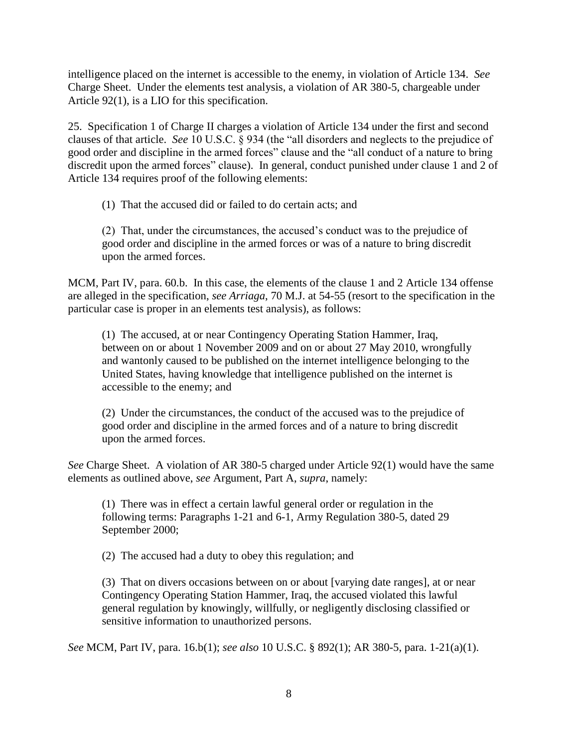intelligence placed on the internet is accessible to the enemy, in violation of Article 134. *See* Charge Sheet. Under the elements test analysis, a violation of AR 380-5, chargeable under Article 92(1), is a LIO for this specification.

25. Specification 1 of Charge II charges a violation of Article 134 under the first and second clauses of that article. *See* 10 U.S.C. § 934 (the "all disorders and neglects to the prejudice of good order and discipline in the armed forces" clause and the "all conduct of a nature to bring discredit upon the armed forces" clause). In general, conduct punished under clause 1 and 2 of Article 134 requires proof of the following elements:

(1) That the accused did or failed to do certain acts; and

(2) That, under the circumstances, the accused's conduct was to the prejudice of good order and discipline in the armed forces or was of a nature to bring discredit upon the armed forces.

MCM, Part IV, para. 60.b. In this case, the elements of the clause 1 and 2 Article 134 offense are alleged in the specification, *see Arriaga*, 70 M.J. at 54-55 (resort to the specification in the particular case is proper in an elements test analysis), as follows:

(1) The accused, at or near Contingency Operating Station Hammer, Iraq, between on or about 1 November 2009 and on or about 27 May 2010, wrongfully and wantonly caused to be published on the internet intelligence belonging to the United States, having knowledge that intelligence published on the internet is accessible to the enemy; and

(2) Under the circumstances, the conduct of the accused was to the prejudice of good order and discipline in the armed forces and of a nature to bring discredit upon the armed forces.

*See* Charge Sheet. A violation of AR 380-5 charged under Article 92(1) would have the same elements as outlined above, *see* Argument, Part A, *supra*, namely:

(1) There was in effect a certain lawful general order or regulation in the following terms: Paragraphs 1-21 and 6-1, Army Regulation 380-5, dated 29 September 2000;

(2) The accused had a duty to obey this regulation; and

(3) That on divers occasions between on or about [varying date ranges], at or near Contingency Operating Station Hammer, Iraq, the accused violated this lawful general regulation by knowingly, willfully, or negligently disclosing classified or sensitive information to unauthorized persons.

*See* MCM, Part IV, para. 16.b(1); *see also* 10 U.S.C. § 892(1); AR 380-5, para. 1-21(a)(1).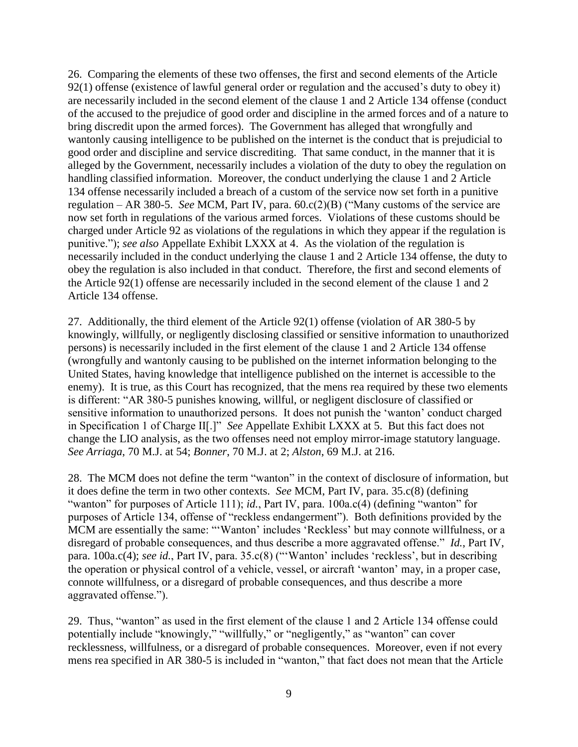26. Comparing the elements of these two offenses, the first and second elements of the Article 92(1) offense (existence of lawful general order or regulation and the accused's duty to obey it) are necessarily included in the second element of the clause 1 and 2 Article 134 offense (conduct of the accused to the prejudice of good order and discipline in the armed forces and of a nature to bring discredit upon the armed forces). The Government has alleged that wrongfully and wantonly causing intelligence to be published on the internet is the conduct that is prejudicial to good order and discipline and service discrediting. That same conduct, in the manner that it is alleged by the Government, necessarily includes a violation of the duty to obey the regulation on handling classified information. Moreover, the conduct underlying the clause 1 and 2 Article 134 offense necessarily included a breach of a custom of the service now set forth in a punitive regulation – AR 380-5. *See* MCM, Part IV, para. 60.c(2)(B) ("Many customs of the service are now set forth in regulations of the various armed forces. Violations of these customs should be charged under Article 92 as violations of the regulations in which they appear if the regulation is punitive."); *see also* Appellate Exhibit LXXX at 4. As the violation of the regulation is necessarily included in the conduct underlying the clause 1 and 2 Article 134 offense, the duty to obey the regulation is also included in that conduct. Therefore, the first and second elements of the Article 92(1) offense are necessarily included in the second element of the clause 1 and 2 Article 134 offense.

27. Additionally, the third element of the Article 92(1) offense (violation of AR 380-5 by knowingly, willfully, or negligently disclosing classified or sensitive information to unauthorized persons) is necessarily included in the first element of the clause 1 and 2 Article 134 offense (wrongfully and wantonly causing to be published on the internet information belonging to the United States, having knowledge that intelligence published on the internet is accessible to the enemy). It is true, as this Court has recognized, that the mens rea required by these two elements is different: "AR 380-5 punishes knowing, willful, or negligent disclosure of classified or sensitive information to unauthorized persons. It does not punish the 'wanton' conduct charged in Specification 1 of Charge II[.]" *See* Appellate Exhibit LXXX at 5. But this fact does not change the LIO analysis, as the two offenses need not employ mirror-image statutory language. *See Arriaga*, 70 M.J. at 54; *Bonner*, 70 M.J. at 2; *Alston*, 69 M.J. at 216.

28. The MCM does not define the term "wanton" in the context of disclosure of information, but it does define the term in two other contexts. *See* MCM, Part IV, para. 35.c(8) (defining "wanton" for purposes of Article 111); *id.*, Part IV, para. 100a.c(4) (defining "wanton" for purposes of Article 134, offense of "reckless endangerment"). Both definitions provided by the MCM are essentially the same: "'Wanton' includes 'Reckless' but may connote willfulness, or a disregard of probable consequences, and thus describe a more aggravated offense." *Id.*, Part IV, para. 100a.c(4); *see id.*, Part IV, para. 35.c(8) ("'Wanton' includes 'reckless', but in describing the operation or physical control of a vehicle, vessel, or aircraft 'wanton' may, in a proper case, connote willfulness, or a disregard of probable consequences, and thus describe a more aggravated offense.").

29. Thus, "wanton" as used in the first element of the clause 1 and 2 Article 134 offense could potentially include "knowingly," "willfully," or "negligently," as "wanton" can cover recklessness, willfulness, or a disregard of probable consequences. Moreover, even if not every mens rea specified in AR 380-5 is included in "wanton," that fact does not mean that the Article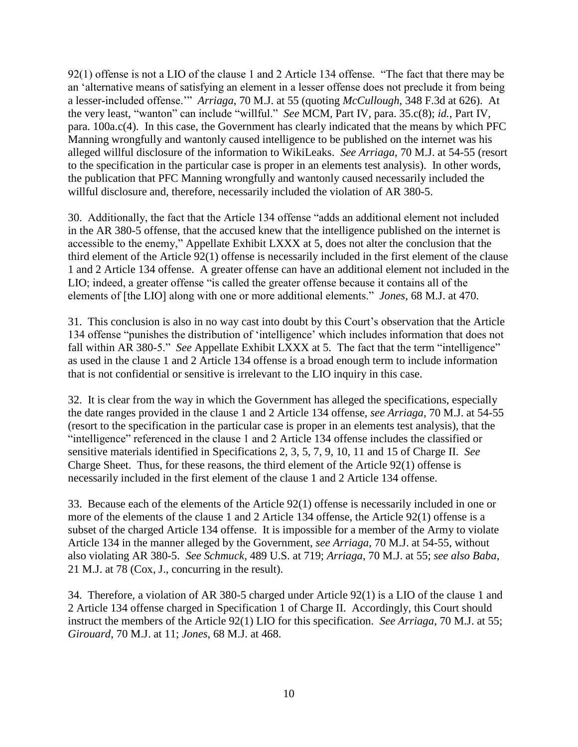92(1) offense is not a LIO of the clause 1 and 2 Article 134 offense. "The fact that there may be an 'alternative means of satisfying an element in a lesser offense does not preclude it from being a lesser-included offense.'" *Arriaga*, 70 M.J. at 55 (quoting *McCullough*, 348 F.3d at 626). At the very least, "wanton" can include "willful." *See* MCM, Part IV, para. 35.c(8); *id.*, Part IV, para. 100a.c(4). In this case, the Government has clearly indicated that the means by which PFC Manning wrongfully and wantonly caused intelligence to be published on the internet was his alleged willful disclosure of the information to WikiLeaks. *See Arriaga*, 70 M.J. at 54-55 (resort to the specification in the particular case is proper in an elements test analysis). In other words, the publication that PFC Manning wrongfully and wantonly caused necessarily included the willful disclosure and, therefore, necessarily included the violation of AR 380-5.

30. Additionally, the fact that the Article 134 offense "adds an additional element not included in the AR 380-5 offense, that the accused knew that the intelligence published on the internet is accessible to the enemy," Appellate Exhibit LXXX at 5, does not alter the conclusion that the third element of the Article 92(1) offense is necessarily included in the first element of the clause 1 and 2 Article 134 offense. A greater offense can have an additional element not included in the LIO; indeed, a greater offense "is called the greater offense because it contains all of the elements of [the LIO] along with one or more additional elements." *Jones*, 68 M.J. at 470.

31. This conclusion is also in no way cast into doubt by this Court's observation that the Article 134 offense "punishes the distribution of 'intelligence' which includes information that does not fall within AR 380-5." *See* Appellate Exhibit LXXX at 5. The fact that the term "intelligence" as used in the clause 1 and 2 Article 134 offense is a broad enough term to include information that is not confidential or sensitive is irrelevant to the LIO inquiry in this case.

32. It is clear from the way in which the Government has alleged the specifications, especially the date ranges provided in the clause 1 and 2 Article 134 offense, *see Arriaga*, 70 M.J. at 54-55 (resort to the specification in the particular case is proper in an elements test analysis), that the "intelligence" referenced in the clause 1 and 2 Article 134 offense includes the classified or sensitive materials identified in Specifications 2, 3, 5, 7, 9, 10, 11 and 15 of Charge II. *See* Charge Sheet. Thus, for these reasons, the third element of the Article 92(1) offense is necessarily included in the first element of the clause 1 and 2 Article 134 offense.

33. Because each of the elements of the Article 92(1) offense is necessarily included in one or more of the elements of the clause 1 and 2 Article 134 offense, the Article 92(1) offense is a subset of the charged Article 134 offense. It is impossible for a member of the Army to violate Article 134 in the manner alleged by the Government, *see Arriaga*, 70 M.J. at 54-55, without also violating AR 380-5. *See Schmuck*, 489 U.S. at 719; *Arriaga*, 70 M.J. at 55; *see also Baba*, 21 M.J. at 78 (Cox, J., concurring in the result).

34. Therefore, a violation of AR 380-5 charged under Article 92(1) is a LIO of the clause 1 and 2 Article 134 offense charged in Specification 1 of Charge II. Accordingly, this Court should instruct the members of the Article 92(1) LIO for this specification. *See Arriaga*, 70 M.J. at 55; *Girouard*, 70 M.J. at 11; *Jones*, 68 M.J. at 468.